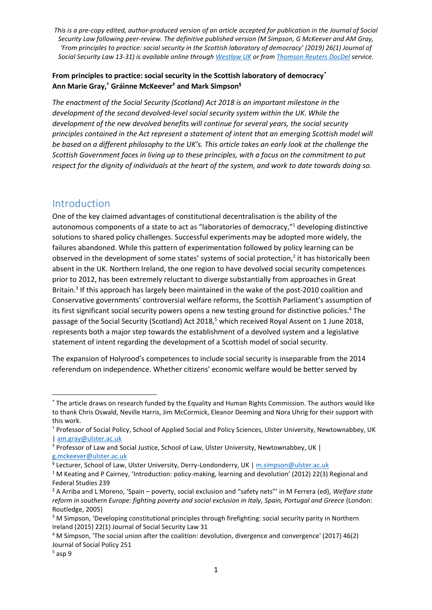#### **From principles to practice: social security in the Scottish laboratory of democracy\* Ann Marie Gray,† Gráinne McKeever‡ and Mark Simpson§**

*The enactment of the Social Security (Scotland) Act 2018 is an important milestone in the*  development of the second devolved-level social security system within the UK. While the *development of the new devolved benefits will continue for several years, the social security principles contained in the Act represent a statement of intent that an emerging Scottish model will be based on a different philosophy to the UK's. This article takes an early look at the challenge the Scottish Government faces in living up to these principles, with a focus on the commitment to put respect for the dignity of individuals at the heart of the system, and work to date towards doing so.* 

#### Introduction

One of the key claimed advantages of constitutional decentralisation is the ability of the autonomous components of a state to act as "laboratories of democracy,"<sup>1</sup> developing distinctive solutions to shared policy challenges. Successful experiments may be adopted more widely, the failures abandoned. While this pattern of experimentation followed by policy learning can be observed in the development of some states' systems of social protection, $^2$  it has historically been absent in the UK. Northern Ireland, the one region to have devolved social security competences prior to 2012, has been extremely reluctant to diverge substantially from approaches in Great Britain.<sup>3</sup> If this approach has largely been maintained in the wake of the post-2010 coalition and Conservative governments' controversial welfare reforms, the Scottish Parliament's assumption of its first significant social security powers opens a new testing ground for distinctive policies.<sup>4</sup> The passage of the Social Security (Scotland) Act 2018,<sup>5</sup> which received Royal Assent on 1 June 2018, represents both a major step towards the establishment of a devolved system and a legislative statement of intent regarding the development of a Scottish model of social security.

The expansion of Holyrood's competences to include social security is inseparable from the 2014 referendum on independence. Whether citizens' economic welfare would be better served by

 $\overline{a}$ 

<sup>\*</sup> The article draws on research funded by the Equality and Human Rights Commission. The authors would like to thank Chris Oswald, Neville Harris, Jim McCormick, Eleanor Deeming and Nora Uhrig for their support with this work.

<sup>†</sup> Professor of Social Policy, School of Applied Social and Policy Sciences, Ulster University, Newtownabbey, UK | [am.gray@ulster.ac.uk](mailto:am.gray@ulster.ac.uk)

<sup>‡</sup> Professor of Law and Social Justice, School of Law, Ulster University, Newtownabbey, UK |

[g.mckeever@ulster.ac.uk](mailto:g.mckeever@ulster.ac.uk)

<sup>&</sup>lt;sup>§</sup> Lecturer, School of Law, Ulster University, Derry-Londonderry, UK | <u>m.simpson@ulster.ac.uk</u>

<sup>&</sup>lt;sup>1</sup> M Keating and P Cairney, 'Introduction: policy-making, learning and devolution' (2012) 22(3) Regional and Federal Studies 239

<sup>2</sup> A Arriba and L Moreno, 'Spain – poverty, social exclusion and "safety nets"' in M Ferrera (ed), *Welfare state reform in southern Europe: fighting poverty and social exclusion in Italy, Spain, Portugal and Greece* (London: Routledge, 2005)

<sup>&</sup>lt;sup>3</sup> M Simpson, 'Developing constitutional principles through firefighting: social security parity in Northern Ireland (2015) 22(1) Journal of Social Security Law 31

<sup>4</sup> M Simpson, 'The social union after the coalition: devolution, divergence and convergence' (2017) 46(2) Journal of Social Policy 251

 $<sup>5</sup>$  asp 9</sup>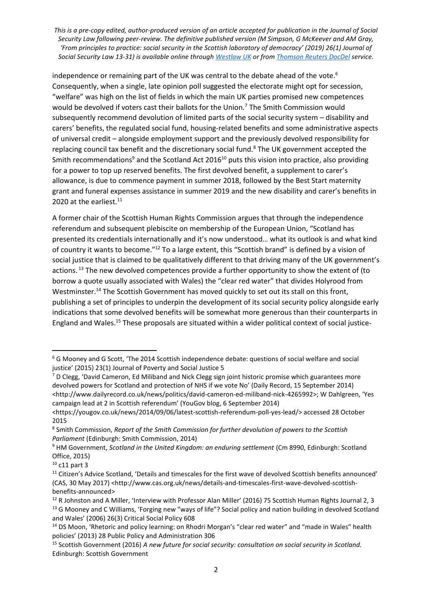independence or remaining part of the UK was central to the debate ahead of the vote.<sup>6</sup> Consequently, when a single, late opinion poll suggested the electorate might opt for secession, "welfare" was high on the list of fields in which the main UK parties promised new competences would be devolved if voters cast their ballots for the Union.<sup>7</sup> The Smith Commission would subsequently recommend devolution of limited parts of the social security system – disability and carers' benefits, the regulated social fund, housing-related benefits and some administrative aspects of universal credit – alongside employment support and the previously devolved responsibility for replacing council tax benefit and the discretionary social fund.<sup>8</sup> The UK government accepted the Smith recommendations<sup>9</sup> and the Scotland Act 2016<sup>10</sup> puts this vision into practice, also providing for a power to top up reserved benefits. The first devolved benefit, a supplement to carer's allowance, is due to commence payment in summer 2018, followed by the Best Start maternity grant and funeral expenses assistance in summer 2019 and the new disability and carer's benefits in 2020 at the earliest.<sup>11</sup>

A former chair of the Scottish Human Rights Commission argues that through the independence referendum and subsequent plebiscite on membership of the European Union, "Scotland has presented its credentials internationally and it's now understood… what its outlook is and what kind of country it wants to become."<sup>12</sup> To a large extent, this "Scottish brand" is defined by a vision of social justice that is claimed to be qualitatively different to that driving many of the UK government's actions. <sup>13</sup> The new devolved competences provide a further opportunity to show the extent of (to borrow a quote usually associated with Wales) the "clear red water" that divides Holyrood from Westminster.<sup>14</sup> The Scottish Government has moved quickly to set out its stall on this front, publishing a set of principles to underpin the development of its social security policy alongside early indications that some devolved benefits will be somewhat more generous than their counterparts in England and Wales.<sup>15</sup> These proposals are situated within a wider political context of social justice-

<sup>6</sup> G Mooney and G Scott, 'The 2014 Scottish independence debate: questions of social welfare and social justice' (2015) 23(1) Journal of Poverty and Social Justice 5

 $7$  D Clegg, 'David Cameron, Ed Miliband and Nick Clegg sign joint historic promise which guarantees more devolved powers for Scotland and protection of NHS if we vote No' (Daily Record, 15 September 2014) <http://www.dailyrecord.co.uk/news/politics/david-cameron-ed-miliband-nick-4265992>; W Dahlgreen, 'Yes campaign lead at 2 in Scottish referendum' (YouGov blog, 6 September 2014)

<sup>&</sup>lt;https://yougov.co.uk/news/2014/09/06/latest-scottish-referendum-poll-yes-lead/> accessed 28 October 2015

<sup>8</sup> Smith Commission, *Report of the Smith Commission for further devolution of powers to the Scottish Parliament* (Edinburgh: Smith Commission, 2014)

<sup>9</sup> HM Government, *Scotland in the United Kingdom: an enduring settlement* (Cm 8990, Edinburgh: Scotland Office, 2015)

 $10$  c11 part 3

<sup>&</sup>lt;sup>11</sup> Citizen's Advice Scotland, 'Details and timescales for the first wave of devolved Scottish benefits announced' (CAS, 30 May 2017) <http://www.cas.org.uk/news/details-and-timescales-first-wave-devolved-scottishbenefits-announced>

<sup>&</sup>lt;sup>12</sup> R Johnston and A Miller, 'Interview with Professor Alan Miller' (2016) 75 Scottish Human Rights Journal 2, 3 <sup>13</sup> G Mooney and C Williams, 'Forging new "ways of life"? Social policy and nation building in devolved Scotland and Wales' (2006) 26(3) Critical Social Policy 608

<sup>&</sup>lt;sup>14</sup> DS Moon, 'Rhetoric and policy learning: on Rhodri Morgan's "clear red water" and "made in Wales" health policies' (2013) 28 Public Policy and Administration 306

<sup>15</sup> Scottish Government (2016) *A new future for social security: consultation on social security in Scotland.*  Edinburgh: Scottish Government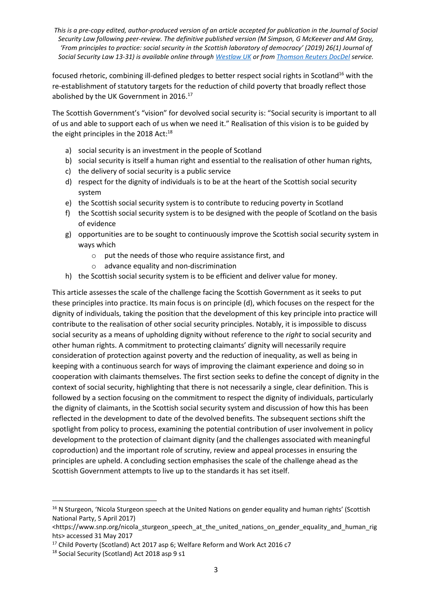focused rhetoric, combining ill-defined pledges to better respect social rights in Scotland<sup>16</sup> with the re-establishment of statutory targets for the reduction of child poverty that broadly reflect those abolished by the UK Government in 2016.<sup>17</sup>

The Scottish Government's "vision" for devolved social security is: "Social security is important to all of us and able to support each of us when we need it." Realisation of this vision is to be guided by the eight principles in the 2018 Act:<sup>18</sup>

- a) social security is an investment in the people of Scotland
- b) social security is itself a human right and essential to the realisation of other human rights,
- c) the delivery of social security is a public service
- d) respect for the dignity of individuals is to be at the heart of the Scottish social security system
- e) the Scottish social security system is to contribute to reducing poverty in Scotland
- f) the Scottish social security system is to be designed with the people of Scotland on the basis of evidence
- g) opportunities are to be sought to continuously improve the Scottish social security system in ways which
	- o put the needs of those who require assistance first, and
	- o advance equality and non-discrimination
- h) the Scottish social security system is to be efficient and deliver value for money.

This article assesses the scale of the challenge facing the Scottish Government as it seeks to put these principles into practice. Its main focus is on principle (d), which focuses on the respect for the dignity of individuals, taking the position that the development of this key principle into practice will contribute to the realisation of other social security principles. Notably, it is impossible to discuss social security as a means of upholding dignity without reference to the *right* to social security and other human rights. A commitment to protecting claimants' dignity will necessarily require consideration of protection against poverty and the reduction of inequality, as well as being in keeping with a continuous search for ways of improving the claimant experience and doing so in cooperation with claimants themselves. The first section seeks to define the concept of dignity in the context of social security, highlighting that there is not necessarily a single, clear definition. This is followed by a section focusing on the commitment to respect the dignity of individuals, particularly the dignity of claimants, in the Scottish social security system and discussion of how this has been reflected in the development to date of the devolved benefits. The subsequent sections shift the spotlight from policy to process, examining the potential contribution of user involvement in policy development to the protection of claimant dignity (and the challenges associated with meaningful coproduction) and the important role of scrutiny, review and appeal processes in ensuring the principles are upheld. A concluding section emphasises the scale of the challenge ahead as the Scottish Government attempts to live up to the standards it has set itself.

<sup>&</sup>lt;sup>16</sup> N Sturgeon, 'Nicola Sturgeon speech at the United Nations on gender equality and human rights' (Scottish National Party, 5 April 2017)

<sup>&</sup>lt;https://www.snp.org/nicola\_sturgeon\_speech\_at\_the\_united\_nations\_on\_gender\_equality\_and\_human\_rig hts> accessed 31 May 2017

<sup>&</sup>lt;sup>17</sup> Child Poverty (Scotland) Act 2017 asp 6; Welfare Reform and Work Act 2016 c7

<sup>18</sup> Social Security (Scotland) Act 2018 asp 9 s1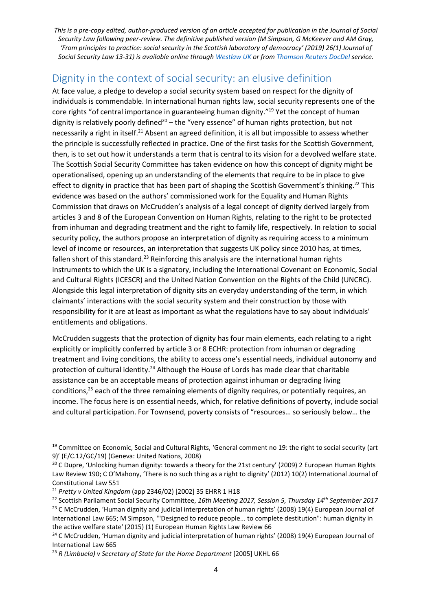# Dignity in the context of social security: an elusive definition

At face value, a pledge to develop a social security system based on respect for the dignity of individuals is commendable. In international human rights law, social security represents one of the core rights "of central importance in guaranteeing human dignity."<sup>19</sup> Yet the concept of human dignity is relatively poorly defined<sup>20</sup> – the "very essence" of human rights protection, but not necessarily a right in itself.<sup>21</sup> Absent an agreed definition, it is all but impossible to assess whether the principle is successfully reflected in practice. One of the first tasks for the Scottish Government, then, is to set out how it understands a term that is central to its vision for a devolved welfare state. The Scottish Social Security Committee has taken evidence on how this concept of dignity might be operationalised, opening up an understanding of the elements that require to be in place to give effect to dignity in practice that has been part of shaping the Scottish Government's thinking.<sup>22</sup> This evidence was based on the authors' commissioned work for the Equality and Human Rights Commission that draws on McCrudden's analysis of a legal concept of dignity derived largely from articles 3 and 8 of the European Convention on Human Rights, relating to the right to be protected from inhuman and degrading treatment and the right to family life, respectively. In relation to social security policy, the authors propose an interpretation of dignity as requiring access to a minimum level of income or resources, an interpretation that suggests UK policy since 2010 has, at times, fallen short of this standard.<sup>23</sup> Reinforcing this analysis are the international human rights instruments to which the UK is a signatory, including the International Covenant on Economic, Social and Cultural Rights (ICESCR) and the United Nation Convention on the Rights of the Child (UNCRC). Alongside this legal interpretation of dignity sits an everyday understanding of the term, in which claimants' interactions with the social security system and their construction by those with responsibility for it are at least as important as what the regulations have to say about individuals' entitlements and obligations.

McCrudden suggests that the protection of dignity has four main elements, each relating to a right explicitly or implicitly conferred by article 3 or 8 ECHR: protection from inhuman or degrading treatment and living conditions, the ability to access one's essential needs, individual autonomy and protection of cultural identity.<sup>24</sup> Although the House of Lords has made clear that charitable assistance can be an acceptable means of protection against inhuman or degrading living conditions,<sup>25</sup> each of the three remaining elements of dignity requires, or potentially requires, an income. The focus here is on essential needs, which, for relative definitions of poverty, include social and cultural participation. For Townsend, poverty consists of "resources… so seriously below… the

<sup>&</sup>lt;sup>19</sup> Committee on Economic, Social and Cultural Rights, 'General comment no 19: the right to social security (art 9)' (E/C.12/GC/19) (Geneva: United Nations, 2008)

<sup>&</sup>lt;sup>20</sup> C Dupre, 'Unlocking human dignity: towards a theory for the 21st century' (2009) 2 European Human Rights Law Review 190; C O'Mahony, 'There is no such thing as a right to dignity' (2012) 10(2) International Journal of Constitutional Law 551

<sup>21</sup> *Pretty v United Kingdom* (app 2346/02) [2002] 35 EHRR 1 H18

<sup>22</sup> Scottish Parliament Social Security Committee, *16th Meeting 2017, Session 5, Thursday 14th September 2017* <sup>23</sup> C McCrudden, 'Human dignity and judicial interpretation of human rights' (2008) 19(4) European Journal of International Law 665; M Simpson, '"Designed to reduce people... to complete destitution": human dignity in the active welfare state' (2015) (1) European Human Rights Law Review 66

<sup>&</sup>lt;sup>24</sup> C McCrudden, 'Human dignity and judicial interpretation of human rights' (2008) 19(4) European Journal of International Law 665

<sup>25</sup> *R (Limbuela) v Secretary of State for the Home Department* [2005] UKHL 66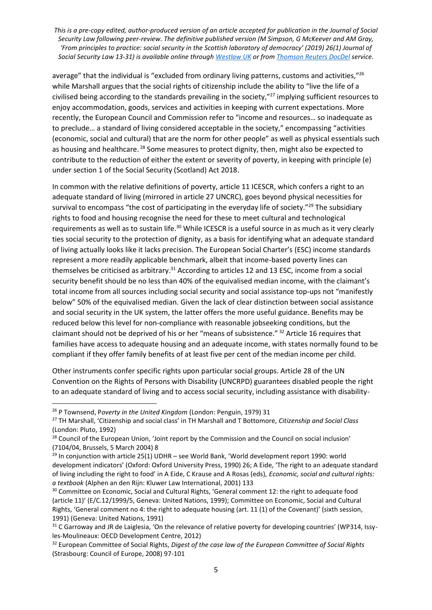average" that the individual is "excluded from ordinary living patterns, customs and activities,"<sup>26</sup> while Marshall argues that the social rights of citizenship include the ability to "live the life of a civilised being according to the standards prevailing in the society," <sup>27</sup> implying sufficient resources to enjoy accommodation, goods, services and activities in keeping with current expectations. More recently, the European Council and Commission refer to "income and resources… so inadequate as to preclude… a standard of living considered acceptable in the society," encompassing "activities (economic, social and cultural) that are the norm for other people" as well as physical essentials such as housing and healthcare.  $^{28}$  Some measures to protect dignity, then, might also be expected to contribute to the reduction of either the extent or severity of poverty, in keeping with principle (e) under section 1 of the Social Security (Scotland) Act 2018.

In common with the relative definitions of poverty, article 11 ICESCR, which confers a right to an adequate standard of living (mirrored in article 27 UNCRC), goes beyond physical necessities for survival to encompass "the cost of participating in the everyday life of society."<sup>29</sup> The subsidiary rights to food and housing recognise the need for these to meet cultural and technological requirements as well as to sustain life.<sup>30</sup> While ICESCR is a useful source in as much as it very clearly ties social security to the protection of dignity, as a basis for identifying what an adequate standard of living actually looks like it lacks precision. The European Social Charter's (ESC) income standards represent a more readily applicable benchmark, albeit that income-based poverty lines can themselves be criticised as arbitrary.<sup>31</sup> According to articles 12 and 13 ESC, income from a social security benefit should be no less than 40% of the equivalised median income, with the claimant's total income from all sources including social security and social assistance top-ups not "manifestly below" 50% of the equivalised median. Given the lack of clear distinction between social assistance and social security in the UK system, the latter offers the more useful guidance. Benefits may be reduced below this level for non-compliance with reasonable jobseeking conditions, but the claimant should not be deprived of his or her "means of subsistence." <sup>32</sup> Article 16 requires that families have access to adequate housing and an adequate income, with states normally found to be compliant if they offer family benefits of at least five per cent of the median income per child.

Other instruments confer specific rights upon particular social groups. Article 28 of the UN Convention on the Rights of Persons with Disability (UNCRPD) guarantees disabled people the right to an adequate standard of living and to access social security, including assistance with disability-

<sup>26</sup> P Townsend, P*overty in the United Kingdom* (London: Penguin, 1979) 31

<sup>27</sup> TH Marshall, 'Citizenship and social class' in TH Marshall and T Bottomore, *Citizenship and Social Class* (London: Pluto, 1992)

<sup>&</sup>lt;sup>28</sup> Council of the European Union, 'Joint report by the Commission and the Council on social inclusion' (7104/04, Brussels, 5 March 2004) 8

<sup>&</sup>lt;sup>29</sup> In conjunction with article 25(1) UDHR – see World Bank, 'World development report 1990: world development indicators' (Oxford: Oxford University Press, 1990) 26; A Eide, 'The right to an adequate standard of living including the right to food' in A Eide, C Krause and A Rosas (eds), *Economic, social and cultural rights: a textbook* (Alphen an den Rijn: Kluwer Law International, 2001) 133

<sup>&</sup>lt;sup>30</sup> Committee on Economic, Social and Cultural Rights, 'General comment 12: the right to adequate food (article 11)' (E/C.12/1999/5, Geneva: United Nations, 1999); Committee on Economic, Social and Cultural Rights, 'General comment no 4: the right to adequate housing (art. 11 (1) of the Covenant)' (sixth session, 1991) (Geneva: United Nations, 1991)

<sup>&</sup>lt;sup>31</sup> C Garroway and JR de Laiglesia, 'On the relevance of relative poverty for developing countries' (WP314, Issyles-Moulineaux: OECD Development Centre, 2012)

<sup>32</sup> European Committee of Social Rights, *Digest of the case law of the European Committee of Social Rights* (Strasbourg: Council of Europe, 2008) 97-101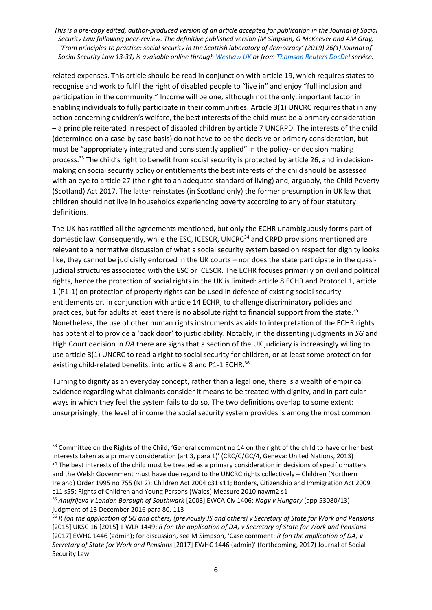related expenses. This article should be read in conjunction with article 19, which requires states to recognise and work to fulfil the right of disabled people to "live in" and enjoy "full inclusion and participation in the community." Income will be one, although not the only, important factor in enabling individuals to fully participate in their communities. Article 3(1) UNCRC requires that in any action concerning children's welfare, the best interests of the child must be a primary consideration – a principle reiterated in respect of disabled children by article 7 UNCRPD. The interests of the child (determined on a case-by-case basis) do not have to be the decisive or primary consideration, but must be "appropriately integrated and consistently applied" in the policy- or decision making process.<sup>33</sup> The child's right to benefit from social security is protected by article 26, and in decisionmaking on social security policy or entitlements the best interests of the child should be assessed with an eye to article 27 (the right to an adequate standard of living) and, arguably, the Child Poverty (Scotland) Act 2017. The latter reinstates (in Scotland only) the former presumption in UK law that children should not live in households experiencing poverty according to any of four statutory definitions.

The UK has ratified all the agreements mentioned, but only the ECHR unambiguously forms part of domestic law. Consequently, while the ESC, ICESCR, UNCRC<sup>34</sup> and CRPD provisions mentioned are relevant to a normative discussion of what a social security system based on respect for dignity looks like, they cannot be judicially enforced in the UK courts – nor does the state participate in the quasijudicial structures associated with the ESC or ICESCR. The ECHR focuses primarily on civil and political rights, hence the protection of social rights in the UK is limited: article 8 ECHR and Protocol 1, article 1 (P1-1) on protection of property rights can be used in defence of existing social security entitlements or, in conjunction with article 14 ECHR, to challenge discriminatory policies and practices, but for adults at least there is no absolute right to financial support from the state.<sup>35</sup> Nonetheless, the use of other human rights instruments as aids to interpretation of the ECHR rights has potential to provide a 'back door' to justiciability. Notably, in the dissenting judgments in *SG* and High Court decision in *DA* there are signs that a section of the UK judiciary is increasingly willing to use article 3(1) UNCRC to read a right to social security for children, or at least some protection for existing child-related benefits, into article 8 and P1-1 ECHR.<sup>36</sup>

Turning to dignity as an everyday concept, rather than a legal one, there is a wealth of empirical evidence regarding what claimants consider it means to be treated with dignity, and in particular ways in which they feel the system fails to do so. The two definitions overlap to some extent: unsurprisingly, the level of income the social security system provides is among the most common

<sup>33</sup> Committee on the Rights of the Child, 'General comment no 14 on the right of the child to have or her best interests taken as a primary consideration (art 3, para 1)' (CRC/C/GC/4, Geneva: United Nations, 2013) <sup>34</sup> The best interests of the child must be treated as a primary consideration in decisions of specific matters and the Welsh Government must have due regard to the UNCRC rights collectively – Children (Northern Ireland) Order 1995 no 755 (NI 2); Children Act 2004 c31 s11; Borders, Citizenship and Immigration Act 2009 c11 s55; Rights of Children and Young Persons (Wales) Measure 2010 nawm2 s1

<sup>35</sup> *Anufrijeva v London Borough of Southwark* [2003] EWCA Civ 1406; *Nagy v Hungary* (app 53080/13) judgment of 13 December 2016 para 80, 113

<sup>36</sup> *R (on the application of SG and others) (previously JS and others) v Secretary of State for Work and Pensions* [2015] UKSC 16 [2015] 1 WLR 1449; *R (on the application of DA) v Secretary of State for Work and Pensions* [2017] EWHC 1446 (admin); for discussion, see M Simpson, 'Case comment: *R (on the application of DA) v Secretary of State for Work and Pensions* [2017] EWHC 1446 (admin)' (forthcoming, 2017) Journal of Social Security Law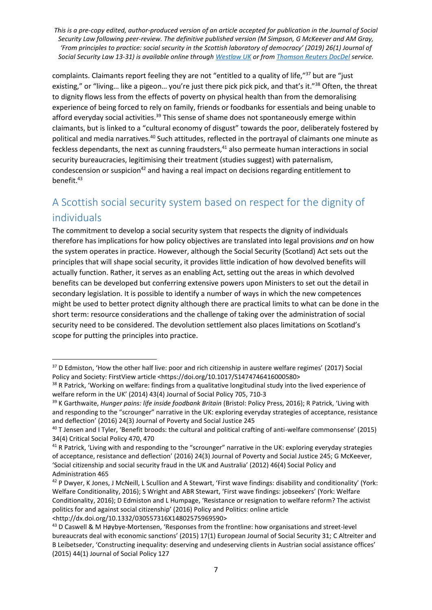complaints. Claimants report feeling they are not "entitled to a quality of life,"<sup>37</sup> but are "just existing," or "living... like a pigeon... you're just there pick pick pick, and that's it."<sup>38</sup> Often, the threat to dignity flows less from the effects of poverty on physical health than from the demoralising experience of being forced to rely on family, friends or foodbanks for essentials and being unable to afford everyday social activities.<sup>39</sup> This sense of shame does not spontaneously emerge within claimants, but is linked to a "cultural economy of disgust" towards the poor, deliberately fostered by political and media narratives.<sup>40</sup> Such attitudes, reflected in the portrayal of claimants one minute as feckless dependants, the next as cunning fraudsters, $41$  also permeate human interactions in social security bureaucracies, legitimising their treatment (studies suggest) with paternalism, condescension or suspicion<sup>42</sup> and having a real impact on decisions regarding entitlement to benefit.<sup>43</sup>

# A Scottish social security system based on respect for the dignity of individuals

The commitment to develop a social security system that respects the dignity of individuals therefore has implications for how policy objectives are translated into legal provisions *and* on how the system operates in practice. However, although the Social Security (Scotland) Act sets out the principles that will shape social security, it provides little indication of how devolved benefits will actually function. Rather, it serves as an enabling Act, setting out the areas in which devolved benefits can be developed but conferring extensive powers upon Ministers to set out the detail in secondary legislation. It is possible to identify a number of ways in which the new competences might be used to better protect dignity although there are practical limits to what can be done in the short term: resource considerations and the challenge of taking over the administration of social security need to be considered. The devolution settlement also places limitations on Scotland's scope for putting the principles into practice.

<sup>&</sup>lt;sup>37</sup> D Edmiston, 'How the other half live: poor and rich citizenship in austere welfare regimes' (2017) Social Policy and Society: FirstView article <https://doi.org/10.1017/S1474746416000580>

<sup>&</sup>lt;sup>38</sup> R Patrick, 'Working on welfare: findings from a qualitative longitudinal study into the lived experience of welfare reform in the UK' (2014) 43(4) Journal of Social Policy 705, 710-3

<sup>39</sup> K Garthwaite, *Hunger pains: life inside foodbank Britain* (Bristol: Policy Press, 2016); R Patrick, 'Living with and responding to the "scrounger" narrative in the UK: exploring everyday strategies of acceptance, resistance and deflection' (2016) 24(3) Journal of Poverty and Social Justice 245

<sup>40</sup> T Jensen and I Tyler, 'Benefit broods: the cultural and political crafting of anti-welfare commonsense' (2015) 34(4) Critical Social Policy 470, 470

<sup>&</sup>lt;sup>41</sup> R Patrick, 'Living with and responding to the "scrounger" narrative in the UK: exploring everyday strategies of acceptance, resistance and deflection' (2016) 24(3) Journal of Poverty and Social Justice 245; G McKeever, 'Social citizenship and social security fraud in the UK and Australia' (2012) 46(4) Social Policy and Administration 465

<sup>&</sup>lt;sup>42</sup> P Dwyer, K Jones, J McNeill, L Scullion and A Stewart, 'First wave findings: disability and conditionality' (York: Welfare Conditionality, 2016); S Wright and ABR Stewart, 'First wave findings: jobseekers' (York: Welfare Conditionality, 2016); D Edmiston and L Humpage, 'Resistance or resignation to welfare reform? The activist politics for and against social citizenship' (2016) Policy and Politics: online article <http://dx.doi.org/10.1332/030557316X14802575969590>

<sup>&</sup>lt;sup>43</sup> D Caswell & M Høybye-Mortensen, 'Responses from the frontline: how organisations and street-level bureaucrats deal with economic sanctions' (2015) 17(1) European Journal of Social Security 31; C Altreiter and B Leibetseder, 'Constructing inequality: deserving and undeserving clients in Austrian social assistance offices' (2015) 44(1) Journal of Social Policy 127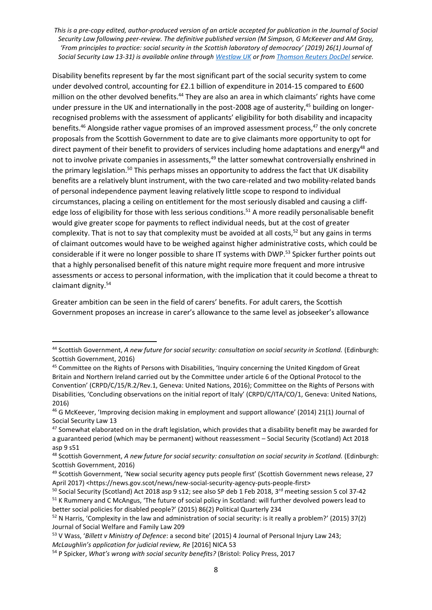Disability benefits represent by far the most significant part of the social security system to come under devolved control, accounting for £2.1 billion of expenditure in 2014-15 compared to £600 million on the other devolved benefits.<sup>44</sup> They are also an area in which claimants' rights have come under pressure in the UK and internationally in the post-2008 age of austerity,<sup>45</sup> building on longerrecognised problems with the assessment of applicants' eligibility for both disability and incapacity benefits.<sup>46</sup> Alongside rather vague promises of an improved assessment process,<sup>47</sup> the only concrete proposals from the Scottish Government to date are to give claimants more opportunity to opt for direct payment of their benefit to providers of services including home adaptations and energy<sup>48</sup> and not to involve private companies in assessments,<sup>49</sup> the latter somewhat controversially enshrined in the primary legislation.<sup>50</sup> This perhaps misses an opportunity to address the fact that UK disability benefits are a relatively blunt instrument, with the two care-related and two mobility-related bands of personal independence payment leaving relatively little scope to respond to individual circumstances, placing a ceiling on entitlement for the most seriously disabled and causing a cliffedge loss of eligibility for those with less serious conditions.<sup>51</sup> A more readily personalisable benefit would give greater scope for payments to reflect individual needs, but at the cost of greater complexity. That is not to say that complexity must be avoided at all costs,<sup>52</sup> but any gains in terms of claimant outcomes would have to be weighed against higher administrative costs, which could be considerable if it were no longer possible to share IT systems with DWP.<sup>53</sup> Spicker further points out that a highly personalised benefit of this nature might require more frequent and more intrusive assessments or access to personal information, with the implication that it could become a threat to claimant dignity. 54

Greater ambition can be seen in the field of carers' benefits. For adult carers, the Scottish Government proposes an increase in carer's allowance to the same level as jobseeker's allowance

<sup>&</sup>lt;sup>44</sup> Scottish Government, *A new future for social security: consultation on social security in Scotland.* (Edinburgh: Scottish Government, 2016)

<sup>45</sup> Committee on the Rights of Persons with Disabilities, 'Inquiry concerning the United Kingdom of Great Britain and Northern Ireland carried out by the Committee under article 6 of the Optional Protocol to the Convention' (CRPD/C/15/R.2/Rev.1, Geneva: United Nations, 2016); Committee on the Rights of Persons with Disabilities, 'Concluding observations on the initial report of Italy' (CRPD/C/ITA/CO/1, Geneva: United Nations, 2016)

<sup>46</sup> G McKeever, 'Improving decision making in employment and support allowance' (2014) 21(1) Journal of Social Security Law 13

<sup>&</sup>lt;sup>47</sup> Somewhat elaborated on in the draft legislation, which provides that a disability benefit may be awarded for a guaranteed period (which may be permanent) without reassessment – Social Security (Scotland) Act 2018 asp 9 s51

<sup>&</sup>lt;sup>48</sup> Scottish Government, *A new future for social security: consultation on social security in Scotland. (Edinburgh:* Scottish Government, 2016)

<sup>49</sup> Scottish Government, 'New social security agency puts people first' (Scottish Government news release, 27 April 2017) <https://news.gov.scot/news/new-social-security-agency-puts-people-first>

<sup>50</sup> Social Security (Scotland) Act 2018 asp 9 s12; see also SP deb 1 Feb 2018, 3<sup>rd</sup> meeting session 5 col 37-42 <sup>51</sup> K Rummery and C McAngus, 'The future of social policy in Scotland: will further devolved powers lead to better social policies for disabled people?' (2015) 86(2) Political Quarterly 234

 $52$  N Harris, 'Complexity in the law and administration of social security: is it really a problem?' (2015) 37(2) Journal of Social Welfare and Family Law 209

<sup>53</sup> V Wass, '*Billett v Ministry of Defence*: a second bite' (2015) 4 Journal of Personal Injury Law 243;

*McLaughlin's application for judicial review, Re* [2016] NICA 53

<sup>54</sup> P Spicker, *What's wrong with social security benefits?* (Bristol: Policy Press, 2017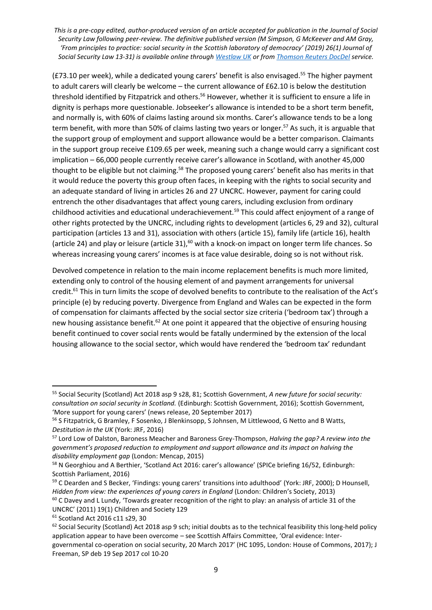(£73.10 per week), while a dedicated young carers' benefit is also envisaged.<sup>55</sup> The higher payment to adult carers will clearly be welcome – the current allowance of £62.10 is below the destitution threshold identified by Fitzpatrick and others.<sup>56</sup> However, whether it is sufficient to ensure a life in dignity is perhaps more questionable. Jobseeker's allowance is intended to be a short term benefit, and normally is, with 60% of claims lasting around six months. Carer's allowance tends to be a long term benefit, with more than 50% of claims lasting two years or longer. <sup>57</sup> As such, it is arguable that the support group of employment and support allowance would be a better comparison. Claimants in the support group receive £109.65 per week, meaning such a change would carry a significant cost implication – 66,000 people currently receive carer's allowance in Scotland, with another 45,000 thought to be eligible but not claiming.<sup>58</sup> The proposed young carers' benefit also has merits in that it would reduce the poverty this group often faces, in keeping with the rights to social security and an adequate standard of living in articles 26 and 27 UNCRC. However, payment for caring could entrench the other disadvantages that affect young carers, including exclusion from ordinary childhood activities and educational underachievement.<sup>59</sup> This could affect enjoyment of a range of other rights protected by the UNCRC, including rights to development (articles 6, 29 and 32), cultural participation (articles 13 and 31), association with others (article 15), family life (article 16), health (article 24) and play or leisure (article 31), $^{60}$  with a knock-on impact on longer term life chances. So whereas increasing young carers' incomes is at face value desirable, doing so is not without risk.

Devolved competence in relation to the main income replacement benefits is much more limited, extending only to control of the housing element of and payment arrangements for universal credit.<sup>61</sup> This in turn limits the scope of devolved benefits to contribute to the realisation of the Act's principle (e) by reducing poverty. Divergence from England and Wales can be expected in the form of compensation for claimants affected by the social sector size criteria ('bedroom tax') through a new housing assistance benefit.<sup>62</sup> At one point it appeared that the objective of ensuring housing benefit continued to cover social rents would be fatally undermined by the extension of the local housing allowance to the social sector, which would have rendered the 'bedroom tax' redundant

**<sup>.</sup>** <sup>55</sup> Social Security (Scotland) Act 2018 asp 9 s28, 81; Scottish Government, *A new future for social security: consultation on social security in Scotland.* (Edinburgh: Scottish Government, 2016); Scottish Government, 'More support for young carers' (news release, 20 September 2017)

<sup>&</sup>lt;sup>56</sup> S Fitzpatrick, G Bramley, F Sosenko, J Blenkinsopp, S Johnsen, M Littlewood, G Netto and B Watts, *Destitution in the UK* (York: JRF, 2016)

<sup>57</sup> Lord Low of Dalston, Baroness Meacher and Baroness Grey-Thompson, *Halving the gap? A review into the government's proposed reduction to employment and support allowance and its impact on halving the disability employment gap* (London: Mencap, 2015)

<sup>&</sup>lt;sup>58</sup> N Georghiou and A Berthier, 'Scotland Act 2016: carer's allowance' (SPICe briefing 16/52, Edinburgh: Scottish Parliament, 2016)

<sup>&</sup>lt;sup>59</sup> C Dearden and S Becker, 'Findings: young carers' transitions into adulthood' (York: JRF, 2000); D Hounsell, *Hidden from view: the experiences of young carers in England* (London: Children's Society, 2013)

 $60$  C Davey and L Lundy, 'Towards greater recognition of the right to play: an analysis of article 31 of the UNCRC' (2011) 19(1) Children and Society 129

<sup>61</sup> Scotland Act 2016 c11 s29, 30

 $62$  Social Security (Scotland) Act 2018 asp 9 sch; initial doubts as to the technical feasibility this long-held policy application appear to have been overcome – see Scottish Affairs Committee, 'Oral evidence: Intergovernmental co-operation on social security, 20 March 2017' (HC 1095, London: House of Commons, 2017); J Freeman, SP deb 19 Sep 2017 col 10-20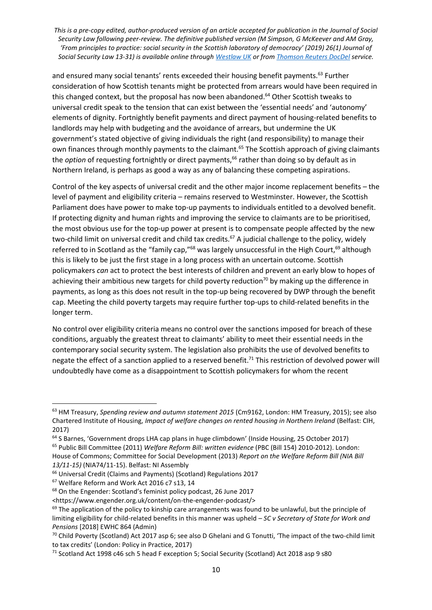and ensured many social tenants' rents exceeded their housing benefit payments.<sup>63</sup> Further consideration of how Scottish tenants might be protected from arrears would have been required in this changed context, but the proposal has now been abandoned.<sup>64</sup> Other Scottish tweaks to universal credit speak to the tension that can exist between the 'essential needs' and 'autonomy' elements of dignity. Fortnightly benefit payments and direct payment of housing-related benefits to landlords may help with budgeting and the avoidance of arrears, but undermine the UK government's stated objective of giving individuals the right (and responsibility) to manage their own finances through monthly payments to the claimant.<sup>65</sup> The Scottish approach of giving claimants the *option* of requesting fortnightly or direct payments,<sup>66</sup> rather than doing so by default as in Northern Ireland, is perhaps as good a way as any of balancing these competing aspirations.

Control of the key aspects of universal credit and the other major income replacement benefits – the level of payment and eligibility criteria – remains reserved to Westminster. However, the Scottish Parliament does have power to make top-up payments to individuals entitled to a devolved benefit. If protecting dignity and human rights and improving the service to claimants are to be prioritised, the most obvious use for the top-up power at present is to compensate people affected by the new two-child limit on universal credit and child tax credits.<sup>67</sup> A judicial challenge to the policy, widely referred to in Scotland as the "family cap,"<sup>68</sup> was largely unsuccessful in the High Court,<sup>69</sup> although this is likely to be just the first stage in a long process with an uncertain outcome. Scottish policymakers *can* act to protect the best interests of children and prevent an early blow to hopes of achieving their ambitious new targets for child poverty reduction<sup>70</sup> by making up the difference in payments, as long as this does not result in the top-up being recovered by DWP through the benefit cap. Meeting the child poverty targets may require further top-ups to child-related benefits in the longer term.

No control over eligibility criteria means no control over the sanctions imposed for breach of these conditions, arguably the greatest threat to claimants' ability to meet their essential needs in the contemporary social security system. The legislation also prohibits the use of devolved benefits to negate the effect of a sanction applied to a reserved benefit.<sup>71</sup> This restriction of devolved power will undoubtedly have come as a disappointment to Scottish policymakers for whom the recent

*13/11-15)* (NIA74/11-15). Belfast: NI Assembly

1

<sup>67</sup> Welfare Reform and Work Act 2016 c7 s13, 14

<sup>63</sup> HM Treasury, *Spending review and autumn statement 2015* (Cm9162, London: HM Treasury, 2015); see also Chartered Institute of Housing, *Impact of welfare changes on rented housing in Northern Ireland* (Belfast: CIH, 2017)

 $64$  S Barnes, 'Government drops LHA cap plans in huge climbdown' (Inside Housing, 25 October 2017) <sup>65</sup> Public Bill Committee (2011) *Welfare Reform Bill: written evidence* (PBC (Bill 154) 2010-2012). London: House of Commons; Committee for Social Development (2013) *Report on the Welfare Reform Bill (NIA Bill* 

<sup>66</sup> Universal Credit (Claims and Payments) (Scotland) Regulations 2017

<sup>68</sup> On the Engender: Scotland's feminist policy podcast, 26 June 2017

<sup>&</sup>lt;https://www.engender.org.uk/content/on-the-engender-podcast/>

<sup>&</sup>lt;sup>69</sup> The application of the policy to kinship care arrangements was found to be unlawful, but the principle of limiting eligibility for child-related benefits in this manner was upheld – *SC v Secretary of State for Work and Pensions* [2018] EWHC 864 (Admin)

<sup>&</sup>lt;sup>70</sup> Child Poverty (Scotland) Act 2017 asp 6; see also D Ghelani and G Tonutti, 'The impact of the two-child limit to tax credits' (London: Policy in Practice, 2017)

<sup>71</sup> Scotland Act 1998 c46 sch 5 head F exception 5; Social Security (Scotland) Act 2018 asp 9 s80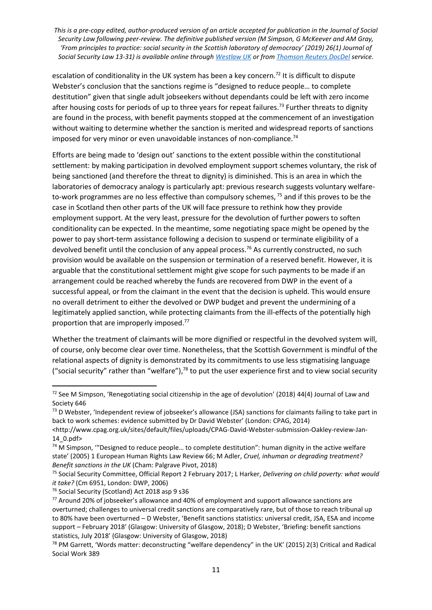escalation of conditionality in the UK system has been a key concern.<sup>72</sup> It is difficult to dispute Webster's conclusion that the sanctions regime is "designed to reduce people… to complete destitution" given that single adult jobseekers without dependants could be left with zero income after housing costs for periods of up to three years for repeat failures.<sup>73</sup> Further threats to dignity are found in the process, with benefit payments stopped at the commencement of an investigation without waiting to determine whether the sanction is merited and widespread reports of sanctions imposed for very minor or even unavoidable instances of non-compliance.<sup>74</sup>

Efforts are being made to 'design out' sanctions to the extent possible within the constitutional settlement: by making participation in devolved employment support schemes voluntary, the risk of being sanctioned (and therefore the threat to dignity) is diminished. This is an area in which the laboratories of democracy analogy is particularly apt: previous research suggests voluntary welfareto-work programmes are no less effective than compulsory schemes, <sup>75</sup> and if this proves to be the case in Scotland then other parts of the UK will face pressure to rethink how they provide employment support. At the very least, pressure for the devolution of further powers to soften conditionality can be expected. In the meantime, some negotiating space might be opened by the power to pay short-term assistance following a decision to suspend or terminate eligibility of a devolved benefit until the conclusion of any appeal process.<sup>76</sup> As currently constructed, no such provision would be available on the suspension or termination of a reserved benefit. However, it is arguable that the constitutional settlement might give scope for such payments to be made if an arrangement could be reached whereby the funds are recovered from DWP in the event of a successful appeal, or from the claimant in the event that the decision is upheld. This would ensure no overall detriment to either the devolved or DWP budget and prevent the undermining of a legitimately applied sanction, while protecting claimants from the ill-effects of the potentially high proportion that are improperly imposed.<sup>77</sup>

Whether the treatment of claimants will be more dignified or respectful in the devolved system will, of course, only become clear over time. Nonetheless, that the Scottish Government is mindful of the relational aspects of dignity is demonstrated by its commitments to use less stigmatising language ("social security" rather than "welfare"),<sup>78</sup> to put the user experience first and to view social security

 $72$  See M Simpson, 'Renegotiating social citizenship in the age of devolution' (2018) 44(4) Journal of Law and Society 646

 $73$  D Webster, 'Independent review of jobseeker's allowance (JSA) sanctions for claimants failing to take part in back to work schemes: evidence submitted by Dr David Webster' (London: CPAG, 2014)

<sup>&</sup>lt;http://www.cpag.org.uk/sites/default/files/uploads/CPAG-David-Webster-submission-Oakley-review-Jan-14\_0.pdf>

<sup>74</sup> M Simpson, '"Designed to reduce people… to complete destitution": human dignity in the active welfare state' (2005) 1 European Human Rights Law Review 66; M Adler, *Cruel, inhuman or degrading treatment? Benefit sanctions in the UK* (Cham: Palgrave Pivot, 2018)

<sup>75</sup> Social Security Committee, Official Report 2 February 2017; L Harker, *Delivering on child poverty: what would it take?* (Cm 6951, London: DWP, 2006)

<sup>76</sup> Social Security (Scotland) Act 2018 asp 9 s36

<sup>&</sup>lt;sup>77</sup> Around 20% of jobseeker's allowance and 40% of employment and support allowance sanctions are overturned; challenges to universal credit sanctions are comparatively rare, but of those to reach tribunal up to 80% have been overturned – D Webster, 'Benefit sanctions statistics: universal credit, JSA, ESA and income support – February 2018' (Glasgow: University of Glasgow, 2018); D Webster, 'Briefing: benefit sanctions statistics, July 2018' (Glasgow: University of Glasgow, 2018)

<sup>78</sup> PM Garrett, 'Words matter: deconstructing "welfare dependency" in the UK' (2015) 2(3) Critical and Radical Social Work 389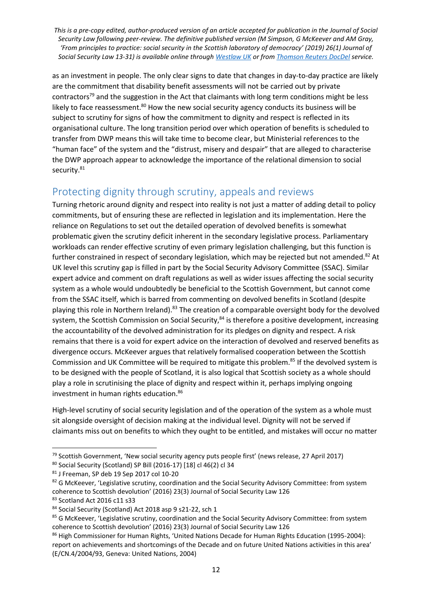as an investment in people. The only clear signs to date that changes in day-to-day practice are likely are the commitment that disability benefit assessments will not be carried out by private contractors<sup>79</sup> and the suggestion in the Act that claimants with long term conditions might be less likely to face reassessment. $80$  How the new social security agency conducts its business will be subject to scrutiny for signs of how the commitment to dignity and respect is reflected in its organisational culture. The long transition period over which operation of benefits is scheduled to transfer from DWP means this will take time to become clear, but Ministerial references to the "human face" of the system and the "distrust, misery and despair" that are alleged to characterise the DWP approach appear to acknowledge the importance of the relational dimension to social security.<sup>81</sup>

# Protecting dignity through scrutiny, appeals and reviews

Turning rhetoric around dignity and respect into reality is not just a matter of adding detail to policy commitments, but of ensuring these are reflected in legislation and its implementation. Here the reliance on Regulations to set out the detailed operation of devolved benefits is somewhat problematic given the scrutiny deficit inherent in the secondary legislative process. Parliamentary workloads can render effective scrutiny of even primary legislation challenging, but this function is further constrained in respect of secondary legislation, which may be rejected but not amended.<sup>82</sup> At UK level this scrutiny gap is filled in part by the Social Security Advisory Committee (SSAC). Similar expert advice and comment on draft regulations as well as wider issues affecting the social security system as a whole would undoubtedly be beneficial to the Scottish Government, but cannot come from the SSAC itself, which is barred from commenting on devolved benefits in Scotland (despite playing this role in Northern Ireland).<sup>83</sup> The creation of a comparable oversight body for the devolved system, the Scottish Commission on Social Security,<sup>84</sup> is therefore a positive development, increasing the accountability of the devolved administration for its pledges on dignity and respect. A risk remains that there is a void for expert advice on the interaction of devolved and reserved benefits as divergence occurs. McKeever argues that relatively formalised cooperation between the Scottish Commission and UK Committee will be required to mitigate this problem.<sup>85</sup> If the devolved system is to be designed with the people of Scotland, it is also logical that Scottish society as a whole should play a role in scrutinising the place of dignity and respect within it, perhaps implying ongoing investment in human rights education.<sup>86</sup>

High-level scrutiny of social security legislation and of the operation of the system as a whole must sit alongside oversight of decision making at the individual level. Dignity will not be served if claimants miss out on benefits to which they ought to be entitled, and mistakes will occur no matter

**<sup>.</sup>** <sup>79</sup> Scottish Government, 'New social security agency puts people first' (news release, 27 April 2017)

<sup>80</sup> Social Security (Scotland) SP Bill (2016-17) [18] cl 46(2) cl 34

<sup>81</sup> J Freeman, SP deb 19 Sep 2017 col 10-20

<sup>&</sup>lt;sup>82</sup> G McKeever, 'Legislative scrutiny, coordination and the Social Security Advisory Committee: from system coherence to Scottish devolution' (2016) 23(3) Journal of Social Security Law 126 83 Scotland Act 2016 c11 s33

<sup>84</sup> Social Security (Scotland) Act 2018 asp 9 s21-22, sch 1

<sup>85</sup> G McKeever, 'Legislative scrutiny, coordination and the Social Security Advisory Committee: from system coherence to Scottish devolution' (2016) 23(3) Journal of Social Security Law 126

<sup>86</sup> High Commissioner for Human Rights, 'United Nations Decade for Human Rights Education (1995-2004): report on achievements and shortcomings of the Decade and on future United Nations activities in this area' (E/CN.4/2004/93, Geneva: United Nations, 2004)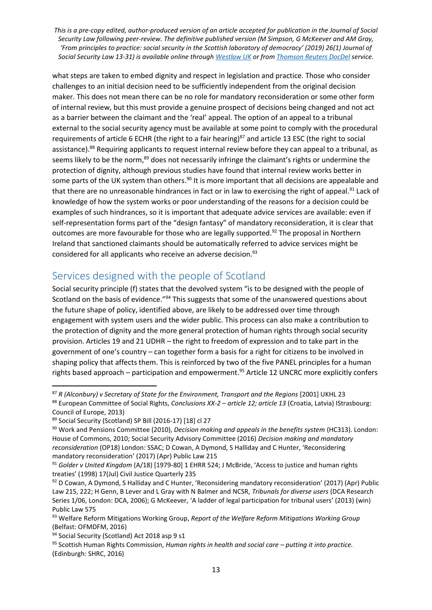what steps are taken to embed dignity and respect in legislation and practice. Those who consider challenges to an initial decision need to be sufficiently independent from the original decision maker. This does not mean there can be no role for mandatory reconsideration or some other form of internal review, but this must provide a genuine prospect of decisions being changed and not act as a barrier between the claimant and the 'real' appeal. The option of an appeal to a tribunal external to the social security agency must be available at some point to comply with the procedural requirements of article 6 ECHR (the right to a fair hearing)<sup>87</sup> and article 13 ESC (the right to social assistance).<sup>88</sup> Requiring applicants to request internal review before they can appeal to a tribunal, as seems likely to be the norm,<sup>89</sup> does not necessarily infringe the claimant's rights or undermine the protection of dignity, although previous studies have found that internal review works better in some parts of the UK system than others.<sup>90</sup> It is more important that all decisions are appealable and that there are no unreasonable hindrances in fact or in law to exercising the right of appeal.<sup>91</sup> Lack of knowledge of how the system works or poor understanding of the reasons for a decision could be examples of such hindrances, so it is important that adequate advice services are available: even if self-representation forms part of the "design fantasy" of mandatory reconsideration, it is clear that outcomes are more favourable for those who are legally supported.<sup>92</sup> The proposal in Northern Ireland that sanctioned claimants should be automatically referred to advice services might be considered for all applicants who receive an adverse decision.<sup>93</sup>

## Services designed with the people of Scotland

Social security principle (f) states that the devolved system "is to be designed with the people of Scotland on the basis of evidence."<sup>94</sup> This suggests that some of the unanswered questions about the future shape of policy, identified above, are likely to be addressed over time through engagement with system users and the wider public. This process can also make a contribution to the protection of dignity and the more general protection of human rights through social security provision. Articles 19 and 21 UDHR – the right to freedom of expression and to take part in the government of one's country – can together form a basis for a right for citizens to be involved in shaping policy that affects them. This is reinforced by two of the five PANEL principles for a human rights based approach – participation and empowerment. <sup>95</sup> Article 12 UNCRC more explicitly confers

<sup>87</sup> *R (Alconbury) v Secretary of State for the Environment, Transport and the Regions* [2001] UKHL 23

<sup>88</sup> European Committee of Social Rights, *Conclusions XX-2 – article 12; article 13* (Croatia, Latvia) IStrasbourg: Council of Europe, 2013)

<sup>89</sup> Social Security (Scotland) SP Bill (2016-17) [18] cl 27

<sup>90</sup> Work and Pensions Committee (2010), *Decision making and appeals in the benefits system* (HC313). London: House of Commons, 2010; Social Security Advisory Committee (2016) *Decision making and mandatory reconsideration* (OP18) London: SSAC; D Cowan, A Dymond, S Halliday and C Hunter, 'Reconsidering mandatory reconsideration' (2017) (Apr) Public Law 215

<sup>91</sup> *Golder v United Kingdom* (A/18) [1979-80] 1 EHRR 524; J McBride, 'Access to justice and human rights treaties' (1998) 17(Jul) Civil Justice Quarterly 235

<sup>92</sup> D Cowan, A Dymond, S Halliday and C Hunter, 'Reconsidering mandatory reconsideration' (2017) (Apr) Public Law 215, 222; H Genn, B Lever and L Gray with N Balmer and NCSR, *Tribunals for diverse users* (DCA Research Series 1/06, London: DCA, 2006); G McKeever, 'A ladder of legal participation for tribunal users' (2013) (win) Public Law 575

<sup>93</sup> Welfare Reform Mitigations Working Group, *Report of the Welfare Reform Mitigations Working Group* (Belfast: OFMDFM, 2016)

<sup>94</sup> Social Security (Scotland) Act 2018 asp 9 s1

<sup>95</sup> Scottish Human Rights Commission, *Human rights in health and social care – putting it into practice.* (Edinburgh: SHRC, 2016)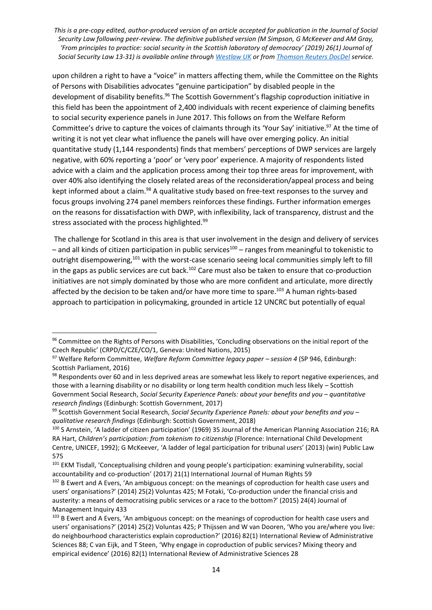upon children a right to have a "voice" in matters affecting them, while the Committee on the Rights of Persons with Disabilities advocates "genuine participation" by disabled people in the development of disability benefits.<sup>96</sup> The Scottish Government's flagship coproduction initiative in this field has been the appointment of 2,400 individuals with recent experience of claiming benefits to social security experience panels in June 2017. This follows on from the Welfare Reform Committee's drive to capture the voices of claimants through its 'Your Say' initiative.<sup>97</sup> At the time of writing it is not yet clear what influence the panels will have over emerging policy. An initial quantitative study (1,144 respondents) finds that members' perceptions of DWP services are largely negative, with 60% reporting a 'poor' or 'very poor' experience. A majority of respondents listed advice with a claim and the application process among their top three areas for improvement, with over 40% also identifying the closely related areas of the reconsideration/appeal process and being kept informed about a claim.<sup>98</sup> A qualitative study based on free-text responses to the survey and focus groups involving 274 panel members reinforces these findings. Further information emerges on the reasons for dissatisfaction with DWP, with inflexibility, lack of transparency, distrust and the stress associated with the process highlighted.<sup>99</sup>

The challenge for Scotland in this area is that user involvement in the design and delivery of services  $-$  and all kinds of citizen participation in public services<sup>100</sup> – ranges from meaningful to tokenistic to outright disempowering,<sup>101</sup> with the worst-case scenario seeing local communities simply left to fill in the gaps as public services are cut back.<sup>102</sup> Care must also be taken to ensure that co-production initiatives are not simply dominated by those who are more confident and articulate, more directly affected by the decision to be taken and/or have more time to spare.<sup>103</sup> A human rights-based approach to participation in policymaking, grounded in article 12 UNCRC but potentially of equal

<sup>96</sup> Committee on the Rights of Persons with Disabilities, 'Concluding observations on the initial report of the Czech Republic' (CRPD/C/CZE/CO/1, Geneva: United Nations, 2015)

<sup>97</sup> Welfare Reform Committee, *Welfare Reform Committee legacy paper – session 4* (SP 946, Edinburgh: Scottish Parliament, 2016)

<sup>98</sup> Respondents over 60 and in less deprived areas are somewhat less likely to report negative experiences, and those with a learning disability or no disability or long term health condition much less likely – Scottish Government Social Research, *Social Security Experience Panels: about your benefits and you – quantitative research findings* (Edinburgh: Scottish Government, 2017)

<sup>99</sup> Scottish Government Social Research, *Social Security Experience Panels: about your benefits and you – qualitative research findings* (Edinburgh: Scottish Government, 2018)

<sup>100</sup> S Arnstein, 'A ladder of citizen participation' (1969) 35 Journal of the American Planning Association 216; RA RA Hart, *Children's participation: from tokenism to citizenship* (Florence: International Child Development Centre, UNICEF, 1992); G McKeever, 'A ladder of legal participation for tribunal users' (2013) (win) Public Law 575

<sup>&</sup>lt;sup>101</sup> EKM Tisdall, 'Conceptualising children and young people's participation: examining vulnerability, social accountability and co-production' (2017) 21(1) International Journal of Human Rights 59

<sup>&</sup>lt;sup>102</sup> B Ewert and A Evers, 'An ambiguous concept: on the meanings of coproduction for health case users and users' organisations?' (2014) 25(2) Voluntas 425; M Fotaki, 'Co-production under the financial crisis and austerity: a means of democratising public services or a race to the bottom?' (2015) 24(4) Journal of Management Inquiry 433

<sup>&</sup>lt;sup>103</sup> B Ewert and A Evers, 'An ambiguous concept: on the meanings of coproduction for health case users and users' organisations?' (2014) 25(2) Voluntas 425; P Thijssen and W van Dooren, 'Who you are/where you live: do neighbourhood characteristics explain coproduction?' (2016) 82(1) International Review of Administrative Sciences 88; C van Eijk, and T Steen, 'Why engage in coproduction of public services? Mixing theory and empirical evidence' (2016) 82(1) International Review of Administrative Sciences 28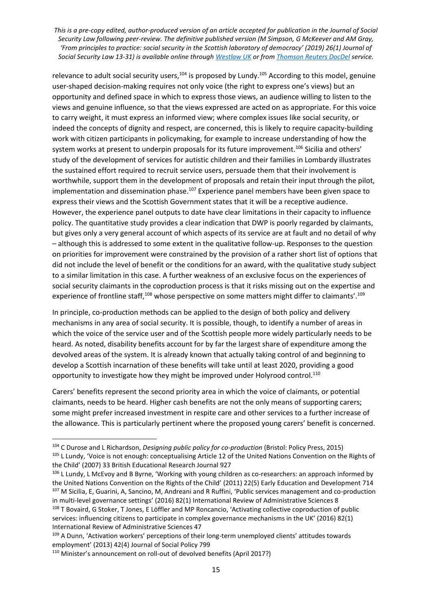relevance to adult social security users,<sup>104</sup> is proposed by Lundy.<sup>105</sup> According to this model, genuine user-shaped decision-making requires not only voice (the right to express one's views) but an opportunity and defined space in which to express those views, an audience willing to listen to the views and genuine influence, so that the views expressed are acted on as appropriate. For this voice to carry weight, it must express an informed view; where complex issues like social security, or indeed the concepts of dignity and respect, are concerned, this is likely to require capacity-building work with citizen participants in policymaking, for example to increase understanding of how the system works at present to underpin proposals for its future improvement.<sup>106</sup> Sicilia and others' study of the development of services for autistic children and their families in Lombardy illustrates the sustained effort required to recruit service users, persuade them that their involvement is worthwhile, support them in the development of proposals and retain their input through the pilot, implementation and dissemination phase. $107$  Experience panel members have been given space to express their views and the Scottish Government states that it will be a receptive audience. However, the experience panel outputs to date have clear limitations in their capacity to influence policy. The quantitative study provides a clear indication that DWP is poorly regarded by claimants, but gives only a very general account of which aspects of its service are at fault and no detail of why – although this is addressed to some extent in the qualitative follow-up. Responses to the question on priorities for improvement were constrained by the provision of a rather short list of options that did not include the level of benefit or the conditions for an award, with the qualitative study subject to a similar limitation in this case. A further weakness of an exclusive focus on the experiences of social security claimants in the coproduction process is that it risks missing out on the expertise and experience of frontline staff,<sup>108</sup> whose perspective on some matters might differ to claimants'.<sup>109</sup>

In principle, co-production methods can be applied to the design of both policy and delivery mechanisms in any area of social security. It is possible, though, to identify a number of areas in which the voice of the service user and of the Scottish people more widely particularly needs to be heard. As noted, disability benefits account for by far the largest share of expenditure among the devolved areas of the system. It is already known that actually taking control of and beginning to develop a Scottish incarnation of these benefits will take until at least 2020, providing a good opportunity to investigate how they might be improved under Holyrood control.<sup>110</sup>

Carers' benefits represent the second priority area in which the voice of claimants, or potential claimants, needs to be heard. Higher cash benefits are not the only means of supporting carers; some might prefer increased investment in respite care and other services to a further increase of the allowance. This is particularly pertinent where the proposed young carers' benefit is concerned.

<sup>104</sup> C Durose and L Richardson, *Designing public policy for co-production* (Bristol: Policy Press, 2015) 105 L Lundy, 'Voice is not enough: conceptualising Article 12 of the United Nations Convention on the Rights of the Child' (2007) 33 British Educational Research Journal 927

<sup>106</sup> L Lundy, L McEvoy and B Byrne, 'Working with young children as co-researchers: an approach informed by the United Nations Convention on the Rights of the Child' (2011) 22(5) Early Education and Development 714 107 M Sicilia, E, Guarini, A, Sancino, M, Andreani and R Ruffini, 'Public services management and co-production in multi-level governance settings' (2016) 82(1) International Review of Administrative Sciences 8 108 T Bovaird, G Stoker, T Jones, E Löffler and MP Roncancio, 'Activating collective coproduction of public services: influencing citizens to participate in complex governance mechanisms in the UK' (2016) 82(1) International Review of Administrative Sciences 47

<sup>109</sup> A Dunn, 'Activation workers' perceptions of their long-term unemployed clients' attitudes towards employment' (2013) 42(4) Journal of Social Policy 799

<sup>110</sup> Minister's announcement on roll-out of devolved benefits (April 2017?)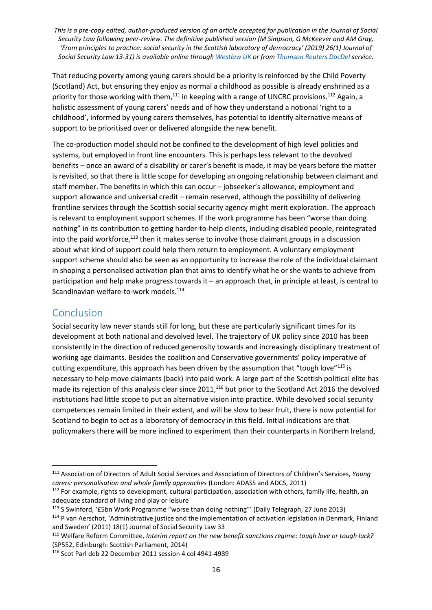That reducing poverty among young carers should be a priority is reinforced by the Child Poverty (Scotland) Act, but ensuring they enjoy as normal a childhood as possible is already enshrined as a priority for those working with them, $^{111}$  in keeping with a range of UNCRC provisions.<sup>112</sup> Again, a holistic assessment of young carers' needs and of how they understand a notional 'right to a childhood', informed by young carers themselves, has potential to identify alternative means of support to be prioritised over or delivered alongside the new benefit.

The co-production model should not be confined to the development of high level policies and systems, but employed in front line encounters. This is perhaps less relevant to the devolved benefits – once an award of a disability or carer's benefit is made, it may be years before the matter is revisited, so that there is little scope for developing an ongoing relationship between claimant and staff member. The benefits in which this can occur – jobseeker's allowance, employment and support allowance and universal credit – remain reserved, although the possibility of delivering frontline services through the Scottish social security agency might merit exploration. The approach is relevant to employment support schemes. If the work programme has been "worse than doing nothing" in its contribution to getting harder-to-help clients, including disabled people, reintegrated into the paid workforce, $113$  then it makes sense to involve those claimant groups in a discussion about what kind of support could help them return to employment. A voluntary employment support scheme should also be seen as an opportunity to increase the role of the individual claimant in shaping a personalised activation plan that aims to identify what he or she wants to achieve from participation and help make progress towards it – an approach that, in principle at least, is central to Scandinavian welfare-to-work models.<sup>114</sup>

### Conclusion

1

Social security law never stands still for long, but these are particularly significant times for its development at both national and devolved level. The trajectory of UK policy since 2010 has been consistently in the direction of reduced generosity towards and increasingly disciplinary treatment of working age claimants. Besides the coalition and Conservative governments' policy imperative of cutting expenditure, this approach has been driven by the assumption that "tough love"<sup>115</sup> is necessary to help move claimants (back) into paid work. A large part of the Scottish political elite has made its rejection of this analysis clear since 2011,<sup>116</sup> but prior to the Scotland Act 2016 the devolved institutions had little scope to put an alternative vision into practice. While devolved social security competences remain limited in their extent, and will be slow to bear fruit, there is now potential for Scotland to begin to act as a laboratory of democracy in this field. Initial indications are that policymakers there will be more inclined to experiment than their counterparts in Northern Ireland,

<sup>111</sup> Association of Directors of Adult Social Services and Association of Directors of Children's Services, *Young carers: personalisation and whole family approaches* (London: ADASS and ADCS, 2011)

<sup>&</sup>lt;sup>112</sup> For example, rights to development, cultural participation, association with others, family life, health, an adequate standard of living and play or leisure

<sup>113</sup> S Swinford, '£5bn Work Programme "worse than doing nothing"' (Daily Telegraph, 27 June 2013)

<sup>&</sup>lt;sup>114</sup> P van Aerschot, 'Administrative justice and the implementation of activation legislation in Denmark, Finland and Sweden' (2011) 18(1) Journal of Social Security Law 33

<sup>115</sup> Welfare Reform Committee, *Interim report on the new benefit sanctions regime: tough love or tough luck?* (SP552, Edinburgh: Scottish Parliament, 2014)

<sup>116</sup> Scot Parl deb 22 December 2011 session 4 col 4941-4989